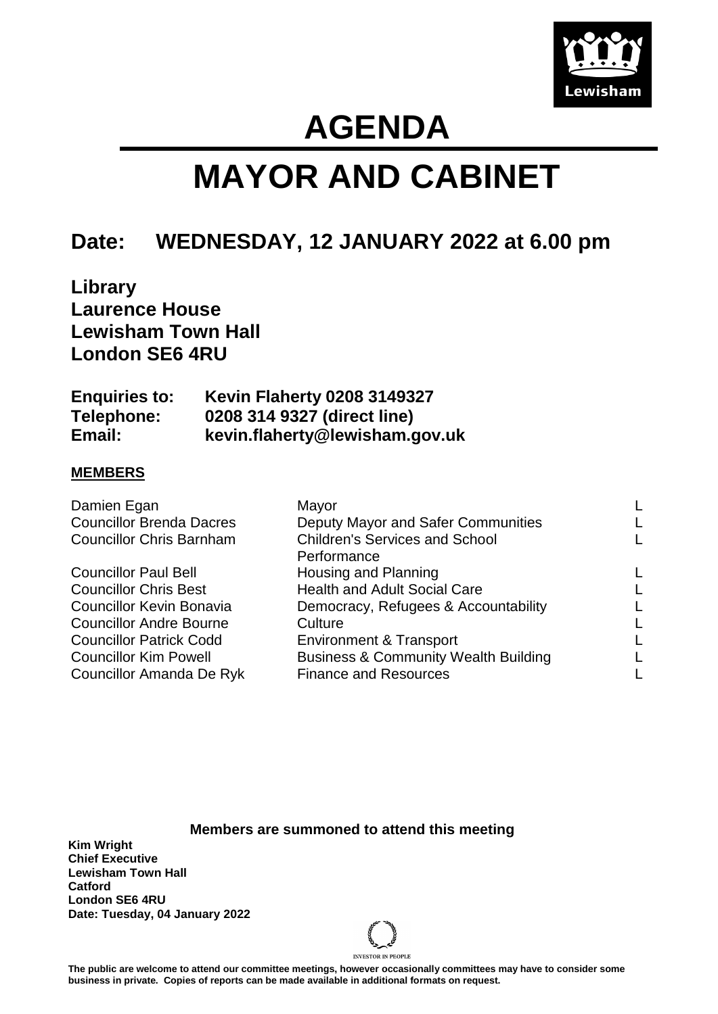

## **AGENDA**

# **MAYOR AND CABINET**

### **Date: WEDNESDAY, 12 JANUARY 2022 at 6.00 pm**

**Library Laurence House Lewisham Town Hall London SE6 4RU**

| <b>Enquiries to:</b> | <b>Kevin Flaherty 0208 3149327</b> |
|----------------------|------------------------------------|
| Telephone:           | 0208 314 9327 (direct line)        |
| Email:               | kevin.flaherty@lewisham.gov.uk     |

#### **MEMBERS**

| Damien Egan                     | Mayor                                           |  |
|---------------------------------|-------------------------------------------------|--|
| <b>Councillor Brenda Dacres</b> | Deputy Mayor and Safer Communities              |  |
| <b>Councillor Chris Barnham</b> | <b>Children's Services and School</b>           |  |
|                                 | Performance                                     |  |
| <b>Councillor Paul Bell</b>     | Housing and Planning                            |  |
| <b>Councillor Chris Best</b>    | <b>Health and Adult Social Care</b>             |  |
| <b>Councillor Kevin Bonavia</b> | Democracy, Refugees & Accountability            |  |
| <b>Councillor Andre Bourne</b>  | Culture                                         |  |
| <b>Councillor Patrick Codd</b>  | <b>Environment &amp; Transport</b>              |  |
| <b>Councillor Kim Powell</b>    | <b>Business &amp; Community Wealth Building</b> |  |
| <b>Councillor Amanda De Ryk</b> | <b>Finance and Resources</b>                    |  |
|                                 |                                                 |  |

**Members are summoned to attend this meeting**

**Kim Wright Chief Executive Lewisham Town Hall Catford London SE6 4RU Date: Tuesday, 04 January 2022**



**The public are welcome to attend our committee meetings, however occasionally committees may have to consider some business in private. Copies of reports can be made available in additional formats on request.**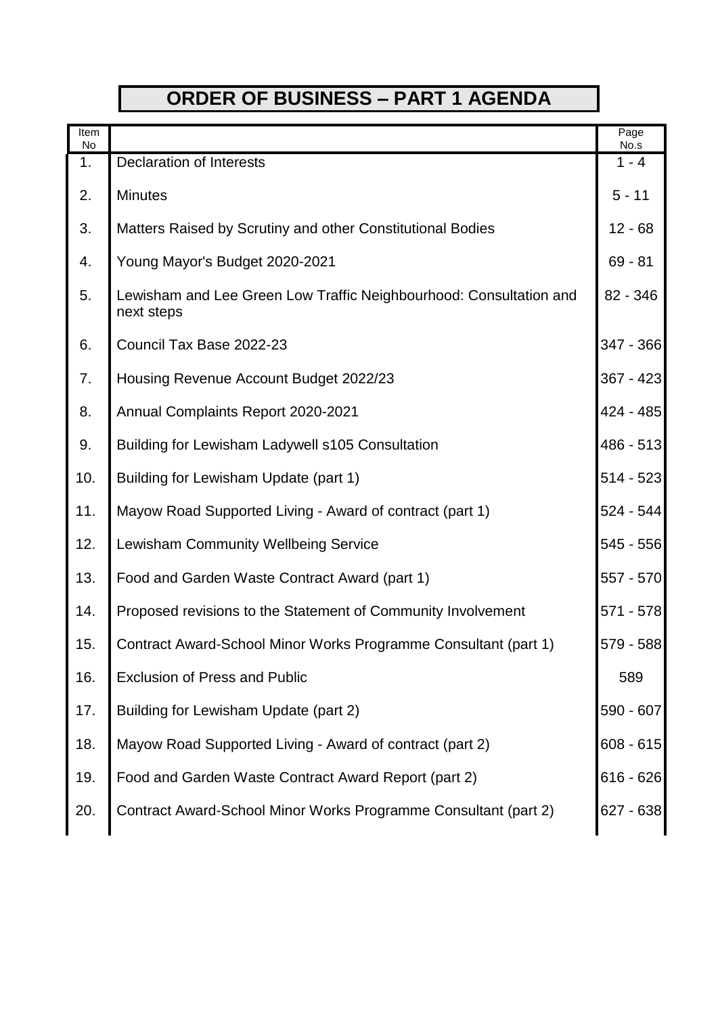## **ORDER OF BUSINESS – PART 1 AGENDA**

| Item<br>No |                                                                                  | Page<br>No.s |
|------------|----------------------------------------------------------------------------------|--------------|
| 1.         | <b>Declaration of Interests</b>                                                  | $1 - 4$      |
| 2.         | <b>Minutes</b>                                                                   | $5 - 11$     |
| 3.         | Matters Raised by Scrutiny and other Constitutional Bodies                       | $12 - 68$    |
| 4.         | Young Mayor's Budget 2020-2021                                                   | $69 - 81$    |
| 5.         | Lewisham and Lee Green Low Traffic Neighbourhood: Consultation and<br>next steps | 82 - 346     |
| 6.         | Council Tax Base 2022-23                                                         | 347 - 366    |
| 7.         | Housing Revenue Account Budget 2022/23                                           | $367 - 423$  |
| 8.         | Annual Complaints Report 2020-2021                                               | 424 - 485    |
| 9.         | Building for Lewisham Ladywell s105 Consultation                                 | 486 - 513    |
| 10.        | Building for Lewisham Update (part 1)                                            | $514 - 523$  |
| 11.        | Mayow Road Supported Living - Award of contract (part 1)                         | $524 - 544$  |
| 12.        | <b>Lewisham Community Wellbeing Service</b>                                      | 545 - 556    |
| 13.        | Food and Garden Waste Contract Award (part 1)                                    | 557 - 570    |
| 14.        | Proposed revisions to the Statement of Community Involvement                     | 571 - 578    |
| 15.        | Contract Award-School Minor Works Programme Consultant (part 1)                  | 579 - 588    |
| 16.        | <b>Exclusion of Press and Public</b>                                             | 589          |
| 17.        | Building for Lewisham Update (part 2)                                            | 590 - 607    |
| 18.        | Mayow Road Supported Living - Award of contract (part 2)                         | $608 - 615$  |
| 19.        | Food and Garden Waste Contract Award Report (part 2)                             | $616 - 626$  |
| 20.        | Contract Award-School Minor Works Programme Consultant (part 2)                  | 627 - 638    |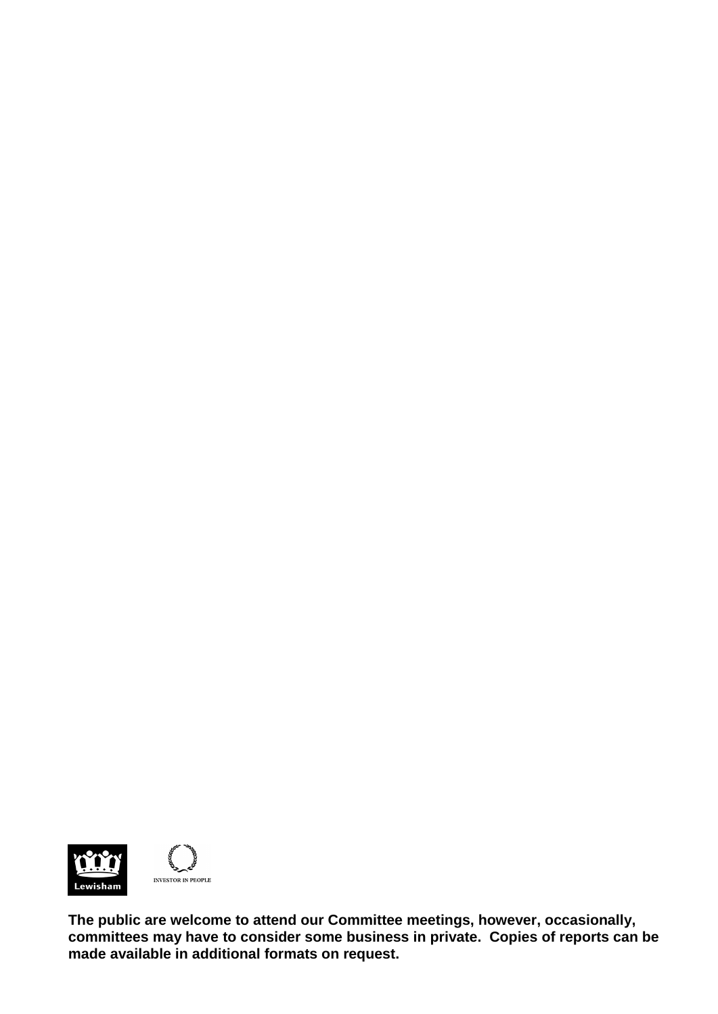

**The public are welcome to attend our Committee meetings, however, occasionally, committees may have to consider some business in private. Copies of reports can be made available in additional formats on request.**